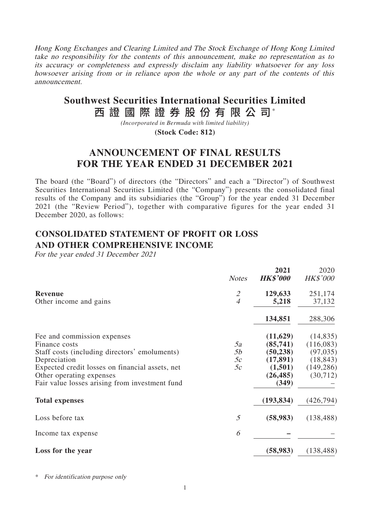Hong Kong Exchanges and Clearing Limited and The Stock Exchange of Hong Kong Limited take no responsibility for the contents of this announcement, make no representation as to its accuracy or completeness and expressly disclaim any liability whatsoever for any loss howsoever arising from or in reliance upon the whole or any part of the contents of this announcement.

# 西 證 國 際 證 券 股 份 有 限 公 司\* **Southwest Securities International Securities Limited**

*(Incorporated in Bermuda with limited liability)*

**(Stock Code: 812)**

# **ANNOUNCEMENT OF FINAL RESULTS FOR THE YEAR ENDED 31 DECEMBER 2021**

The board (the "Board") of directors (the "Directors" and each a "Director") of Southwest Securities International Securities Limited (the "Company") presents the consolidated final results of the Company and its subsidiaries (the "Group") for the year ended 31 December 2021 (the "Review Period"), together with comparative figures for the year ended 31 December 2020, as follows:

**2021** 2020

# **CONSOLIDATED STATEMENT OF PROFIT OR LOSS AND OTHER COMPREHENSIVE INCOME**

For the year ended 31 December 2021

|                                                 | <b>Notes</b>                | 4V41<br><b>HK\$'000</b> | ZUZU<br><b>HK\$'000</b> |
|-------------------------------------------------|-----------------------------|-------------------------|-------------------------|
| <b>Revenue</b>                                  | $\mathcal{L}_{\mathcal{L}}$ | 129,633                 | 251,174                 |
| Other income and gains                          | $\overline{4}$              | 5,218                   | 37,132                  |
|                                                 |                             | 134,851                 | 288,306                 |
| Fee and commission expenses                     |                             | (11,629)                | (14, 835)               |
| Finance costs                                   | 5a                          | (85,741)                | (116,083)               |
| Staff costs (including directors' emoluments)   | 5b                          | (50, 238)               | (97, 035)               |
| Depreciation                                    | 5c                          | (17, 891)               | (18, 843)               |
| Expected credit losses on financial assets, net | 5c                          | (1,501)                 | (149, 286)              |
| Other operating expenses                        |                             | (26, 485)               | (30,712)                |
| Fair value losses arising from investment fund  |                             | (349)                   |                         |
| <b>Total expenses</b>                           |                             | (193, 834)              | (426, 794)              |
| Loss before tax                                 | 5                           | (58, 983)               | (138, 488)              |
| Income tax expense                              | 6                           |                         |                         |
| Loss for the year                               |                             | (58, 983)               | (138, 488)              |

\* For identification purpose only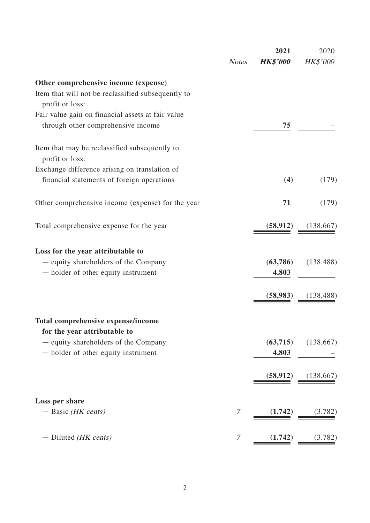|                                                                                         | <b>Notes</b> | 2021<br><b>HK\$'000</b> | 2020<br><b>HK\$'000</b> |
|-----------------------------------------------------------------------------------------|--------------|-------------------------|-------------------------|
| Other comprehensive income (expense)                                                    |              |                         |                         |
| Item that will not be reclassified subsequently to<br>profit or loss:                   |              |                         |                         |
| Fair value gain on financial assets at fair value<br>through other comprehensive income |              | 75                      |                         |
| Item that may be reclassified subsequently to<br>profit or loss:                        |              |                         |                         |
| Exchange difference arising on translation of                                           |              |                         |                         |
| financial statements of foreign operations                                              |              | (4)                     | (179)                   |
| Other comprehensive income (expense) for the year                                       |              | 71                      | (179)                   |
| Total comprehensive expense for the year                                                |              | (58, 912)               | (138, 667)              |
| Loss for the year attributable to                                                       |              |                         |                         |
| - equity shareholders of the Company                                                    |              | (63, 786)               | (138, 488)              |
| - holder of other equity instrument                                                     |              | 4,803                   |                         |
|                                                                                         |              | (58, 983)               | (138, 488)              |
| Total comprehensive expense/income<br>for the year attributable to                      |              |                         |                         |
| - equity shareholders of the Company                                                    |              | (63,715)                | (138, 667)              |
| - holder of other equity instrument                                                     |              | 4,803                   |                         |
|                                                                                         |              | (58, 912)               | (138, 667)              |
| Loss per share                                                                          |              |                         |                         |
| $-$ Basic (HK cents)                                                                    | 7            | (1.742)                 | (3.782)                 |
| $-$ Diluted <i>(HK cents)</i>                                                           | 7            | (1.742)                 | (3.782)                 |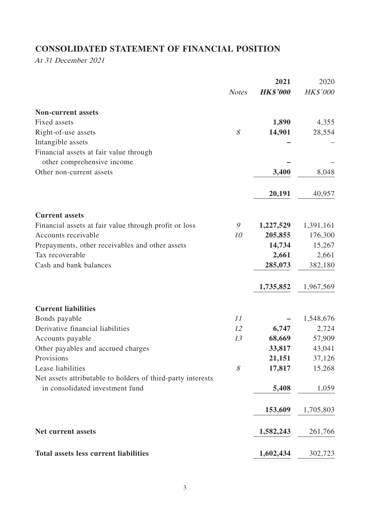# **CONSOLIDATED STATEMENT OF FINANCIAL POSITION**

At 31 December 2021

|                                                                                                |              | 2021            | 2020      |
|------------------------------------------------------------------------------------------------|--------------|-----------------|-----------|
|                                                                                                | <b>Notes</b> | <b>HK\$'000</b> | HK\$'000  |
| <b>Non-current assets</b>                                                                      |              |                 |           |
| Fixed assets                                                                                   |              | 1,890           | 4,355     |
| Right-of-use assets                                                                            | 8            | 14,901          | 28,554    |
| Intangible assets                                                                              |              |                 |           |
| Financial assets at fair value through<br>other comprehensive income                           |              |                 |           |
| Other non-current assets                                                                       |              | 3,400           | 8,048     |
|                                                                                                |              |                 |           |
|                                                                                                |              | 20,191          | 40,957    |
| <b>Current assets</b>                                                                          |              |                 |           |
| Financial assets at fair value through profit or loss                                          | 9            | 1,227,529       | 1,391,161 |
| Accounts receivable                                                                            | 10           | 205,855         | 176,300   |
| Prepayments, other receivables and other assets                                                |              | 14,734          | 15,267    |
| Tax recoverable                                                                                |              | 2,661           | 2,661     |
| Cash and bank balances                                                                         |              | 285,073         | 382,180   |
|                                                                                                |              | 1,735,852       | 1,967,569 |
| <b>Current liabilities</b>                                                                     |              |                 |           |
| Bonds payable                                                                                  | 11           |                 | 1,548,676 |
| Derivative financial liabilities                                                               | 12           | 6,747           | 2,724     |
| Accounts payable                                                                               | 13           | 68,669          | 57,909    |
| Other payables and accrued charges                                                             |              | 33,817          | 43,041    |
| Provisions                                                                                     |              | 21,151          | 37,126    |
| Lease liabilities                                                                              | 8            | 17,817          | 15,268    |
| Net assets attributable to holders of third-party interests<br>in consolidated investment fund |              | 5,408           | 1,059     |
|                                                                                                |              | 153,609         | 1,705,803 |
| <b>Net current assets</b>                                                                      |              |                 |           |
|                                                                                                |              | 1,582,243       | 261,766   |
| <b>Total assets less current liabilities</b>                                                   |              | 1,602,434       | 302,723   |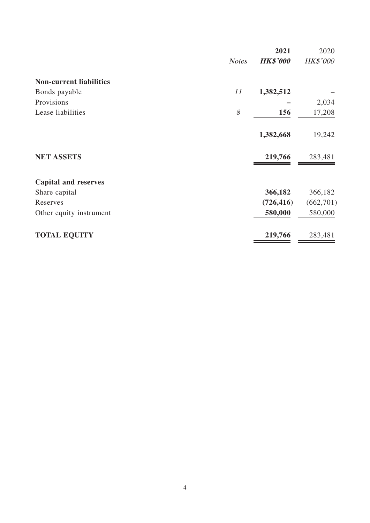| <b>HK\$'000</b><br><b>Notes</b><br><b>Non-current liabilities</b><br>11<br>1,382,512<br>Bonds payable | <b>HK\$'000</b> |
|-------------------------------------------------------------------------------------------------------|-----------------|
|                                                                                                       |                 |
|                                                                                                       |                 |
|                                                                                                       |                 |
| Provisions                                                                                            | 2,034           |
| 8<br>Lease liabilities<br>156                                                                         | 17,208          |
| 1,382,668                                                                                             | 19,242          |
| <b>NET ASSETS</b><br>219,766                                                                          | 283,481         |
| <b>Capital and reserves</b>                                                                           |                 |
| 366,182<br>Share capital                                                                              | 366,182         |
| Reserves<br>(726, 416)                                                                                | (662, 701)      |
| 580,000<br>Other equity instrument                                                                    | 580,000         |
| <b>TOTAL EQUITY</b><br>219,766                                                                        | 283,481         |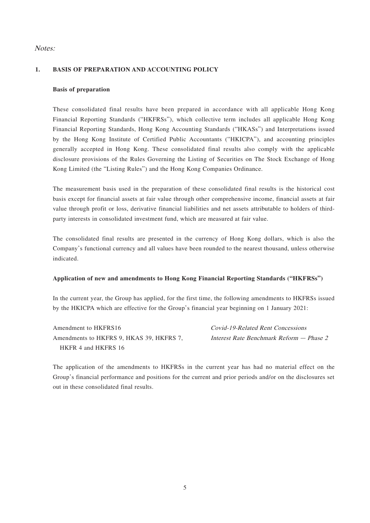### Notes:

### **1. BASIS OF PREPARATION AND ACCOUNTING POLICY**

### **Basis of preparation**

These consolidated final results have been prepared in accordance with all applicable Hong Kong Financial Reporting Standards ("HKFRSs"), which collective term includes all applicable Hong Kong Financial Reporting Standards, Hong Kong Accounting Standards ("HKASs") and Interpretations issued by the Hong Kong Institute of Certified Public Accountants ("HKICPA"), and accounting principles generally accepted in Hong Kong. These consolidated final results also comply with the applicable disclosure provisions of the Rules Governing the Listing of Securities on The Stock Exchange of Hong Kong Limited (the "Listing Rules") and the Hong Kong Companies Ordinance.

The measurement basis used in the preparation of these consolidated final results is the historical cost basis except for financial assets at fair value through other comprehensive income, financial assets at fair value through profit or loss, derivative financial liabilities and net assets attributable to holders of thirdparty interests in consolidated investment fund, which are measured at fair value.

The consolidated final results are presented in the currency of Hong Kong dollars, which is also the Company's functional currency and all values have been rounded to the nearest thousand, unless otherwise indicated.

#### **Application of new and amendments to Hong Kong Financial Reporting Standards ("HKFRSs")**

In the current year, the Group has applied, for the first time, the following amendments to HKFRSs issued by the HKICPA which are effective for the Group's financial year beginning on 1 January 2021:

Amendment to HKFRS16 Covid-19-Related Rent Concessions Amendments to HKFRS 9, HKAS 39, HKFRS 7, HKFR 4 and HKFRS 16

Interest Rate Benchmark Reform — Phase 2

The application of the amendments to HKFRSs in the current year has had no material effect on the Group's financial performance and positions for the current and prior periods and/or on the disclosures set out in these consolidated final results.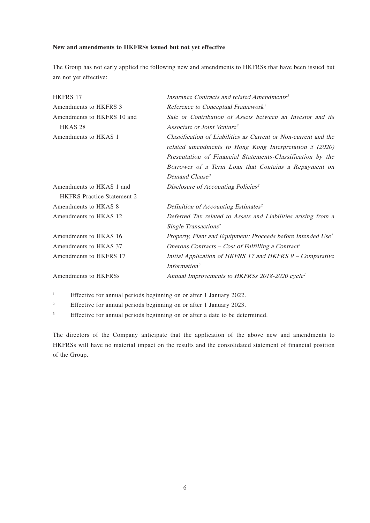#### **New and amendments to HKFRSs issued but not yet effective**

The Group has not early applied the following new and amendments to HKFRSs that have been issued but are not yet effective:

| <b>HKFRS 17</b>                   | Insurance Contracts and related Amendments <sup>2</sup>                  |
|-----------------------------------|--------------------------------------------------------------------------|
| Amendments to HKFRS 3             | Reference to Conceptual Framework <sup>1</sup>                           |
| Amendments to HKFRS 10 and        | Sale or Contribution of Assets between an Investor and its               |
| HKAS <sub>28</sub>                | Associate or Joint Venture <sup>3</sup>                                  |
| Amendments to HKAS 1              | Classification of Liabilities as Current or Non-current and the          |
|                                   | related amendments to Hong Kong Interpretation $5$ (2020)                |
|                                   | Presentation of Financial Statements-Classification by the               |
|                                   | Borrower of a Term Loan that Contains a Repayment on                     |
|                                   | Demand Clause <sup>3</sup>                                               |
| Amendments to HKAS 1 and          | Disclosure of Accounting Policies <sup>2</sup>                           |
| <b>HKFRS</b> Practice Statement 2 |                                                                          |
| Amendments to HKAS 8              | Definition of Accounting Estimates <sup>2</sup>                          |
| Amendments to HKAS 12             | Deferred Tax related to Assets and Liabilities arising from a            |
|                                   | Single Transactions <sup>2</sup>                                         |
| Amendments to HKAS 16             | Property, Plant and Equipment: Proceeds before Intended Use <sup>1</sup> |
| Amendments to HKAS 37             | Onerous Contracts – Cost of Fulfilling a Contract <sup>1</sup>           |
| Amendments to HKFRS 17            | Initial Application of HKFRS 17 and HKFRS 9 – Comparative                |
|                                   | Information <sup>2</sup>                                                 |
| Amendments to HKFRSs              | Annual Improvements to HKFRSs 2018-2020 cycle <sup>1</sup>               |

<sup>1</sup> Effective for annual periods beginning on or after 1 January 2022.

<sup>2</sup> Effective for annual periods beginning on or after 1 January 2023.

<sup>3</sup> Effective for annual periods beginning on or after a date to be determined.

The directors of the Company anticipate that the application of the above new and amendments to HKFRSs will have no material impact on the results and the consolidated statement of financial position of the Group.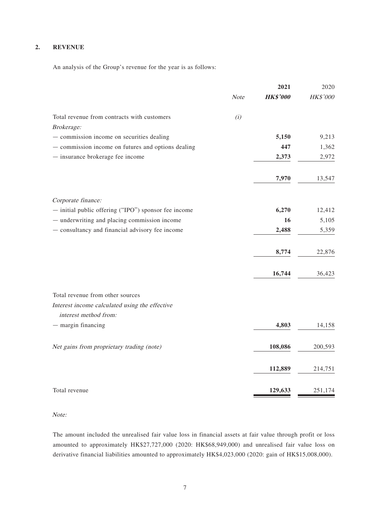### **2. REVENUE**

An analysis of the Group's revenue for the year is as follows:

|                                                      |      | 2021            | 2020     |
|------------------------------------------------------|------|-----------------|----------|
|                                                      | Note | <b>HK\$'000</b> | HK\$'000 |
| Total revenue from contracts with customers          | (i)  |                 |          |
| Brokerage:                                           |      |                 |          |
| - commission income on securities dealing            |      | 5,150           | 9,213    |
| - commission income on futures and options dealing   |      | 447             | 1,362    |
| - insurance brokerage fee income                     |      | 2,373           | 2,972    |
|                                                      |      | 7,970           | 13,547   |
| Corporate finance:                                   |      |                 |          |
| - initial public offering ("IPO") sponsor fee income |      | 6,270           | 12,412   |
| - underwriting and placing commission income         |      | 16              | 5,105    |
| - consultancy and financial advisory fee income      |      | 2,488           | 5,359    |
|                                                      |      | 8,774           | 22,876   |
|                                                      |      |                 |          |
|                                                      |      | 16,744          | 36,423   |
| Total revenue from other sources                     |      |                 |          |
| Interest income calculated using the effective       |      |                 |          |
| interest method from:                                |      |                 |          |
| $-$ margin financing                                 |      | 4,803           | 14,158   |
| Net gains from proprietary trading (note)            |      | 108,086         | 200,593  |
|                                                      |      |                 |          |
|                                                      |      | 112,889         | 214,751  |
| Total revenue                                        |      | 129,633         | 251,174  |

Note:

The amount included the unrealised fair value loss in financial assets at fair value through profit or loss amounted to approximately HK\$27,727,000 (2020: HK\$68,949,000) and unrealised fair value loss on derivative financial liabilities amounted to approximately HK\$4,023,000 (2020: gain of HK\$15,008,000).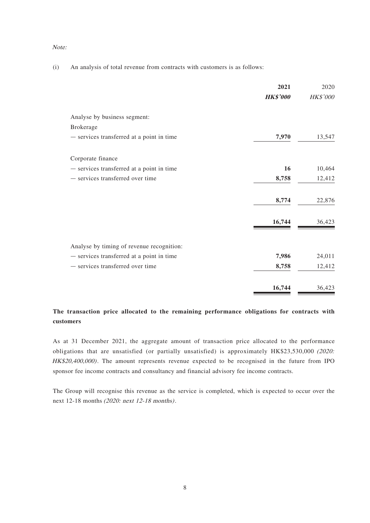#### Note:

(i) An analysis of total revenue from contracts with customers is as follows:

|                                           | 2021            | 2020            |
|-------------------------------------------|-----------------|-----------------|
|                                           | <b>HK\$'000</b> | <b>HK\$'000</b> |
| Analyse by business segment:              |                 |                 |
| <b>Brokerage</b>                          |                 |                 |
| - services transferred at a point in time | 7,970           | 13,547          |
| Corporate finance                         |                 |                 |
| - services transferred at a point in time | 16              | 10,464          |
| - services transferred over time          | 8,758           | 12,412          |
|                                           | 8,774           | 22,876          |
|                                           | 16,744          | 36,423          |
| Analyse by timing of revenue recognition: |                 |                 |
| - services transferred at a point in time | 7,986           | 24,011          |
| - services transferred over time          | 8,758           | 12,412          |
|                                           | 16,744          | 36,423          |

# **The transaction price allocated to the remaining performance obligations for contracts with customers**

As at 31 December 2021, the aggregate amount of transaction price allocated to the performance obligations that are unsatisfied (or partially unsatisfied) is approximately HK\$23,530,000 (2020: HK\$20,400,000). The amount represents revenue expected to be recognised in the future from IPO sponsor fee income contracts and consultancy and financial advisory fee income contracts.

The Group will recognise this revenue as the service is completed, which is expected to occur over the next 12-18 months (2020: next 12-18 months).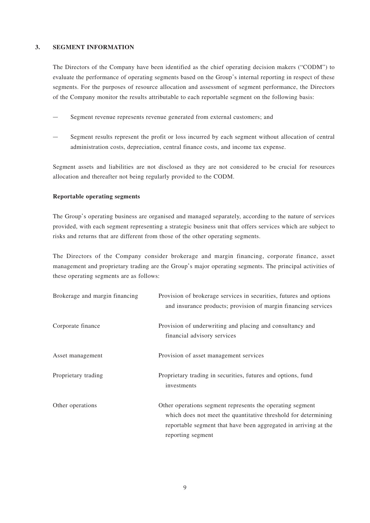#### **3. SEGMENT INFORMATION**

The Directors of the Company have been identified as the chief operating decision makers ("CODM") to evaluate the performance of operating segments based on the Group's internal reporting in respect of these segments. For the purposes of resource allocation and assessment of segment performance, the Directors of the Company monitor the results attributable to each reportable segment on the following basis:

- Segment revenue represents revenue generated from external customers; and
- Segment results represent the profit or loss incurred by each segment without allocation of central administration costs, depreciation, central finance costs, and income tax expense.

Segment assets and liabilities are not disclosed as they are not considered to be crucial for resources allocation and thereafter not being regularly provided to the CODM.

### **Reportable operating segments**

The Group's operating business are organised and managed separately, according to the nature of services provided, with each segment representing a strategic business unit that offers services which are subject to risks and returns that are different from those of the other operating segments.

The Directors of the Company consider brokerage and margin financing, corporate finance, asset management and proprietary trading are the Group's major operating segments. The principal activities of these operating segments are as follows:

| Brokerage and margin financing | Provision of brokerage services in securities, futures and options<br>and insurance products; provision of margin financing services                                                                                |
|--------------------------------|---------------------------------------------------------------------------------------------------------------------------------------------------------------------------------------------------------------------|
| Corporate finance              | Provision of underwriting and placing and consultancy and<br>financial advisory services                                                                                                                            |
| Asset management               | Provision of asset management services                                                                                                                                                                              |
| Proprietary trading            | Proprietary trading in securities, futures and options, fund<br>investments                                                                                                                                         |
| Other operations               | Other operations segment represents the operating segment<br>which does not meet the quantitative threshold for determining<br>reportable segment that have been aggregated in arriving at the<br>reporting segment |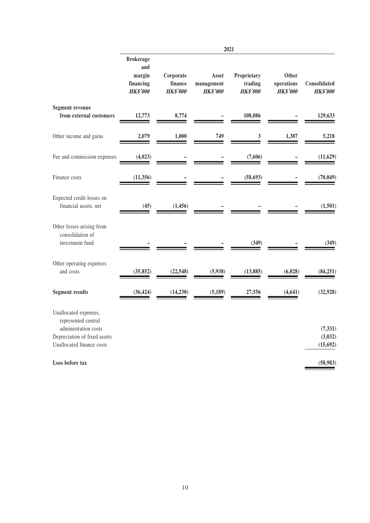|                                                                                                                                   | 2021                                                              |                                         |                                        |                                           |                                               |                                  |
|-----------------------------------------------------------------------------------------------------------------------------------|-------------------------------------------------------------------|-----------------------------------------|----------------------------------------|-------------------------------------------|-----------------------------------------------|----------------------------------|
|                                                                                                                                   | <b>Brokerage</b><br>and<br>margin<br>financing<br><b>HK\$'000</b> | Corporate<br>finance<br><b>HK\$'000</b> | Asset<br>management<br><b>HK\$'000</b> | Proprietary<br>trading<br><b>HK\$'000</b> | <b>Other</b><br>operations<br><b>HK\$'000</b> | Consolidated<br><b>HK\$'000</b>  |
| <b>Segment revenue</b><br>from external customers                                                                                 | 12,773                                                            | 8,774                                   |                                        | 108,086                                   |                                               | 129,633                          |
| Other income and gains                                                                                                            | 2,079                                                             | 1,000                                   | 749                                    | $\mathfrak{z}$                            | 1,387                                         | 5,218                            |
| Fee and commission expenses                                                                                                       | (4,023)                                                           |                                         |                                        | (7,606)                                   |                                               | (11, 629)                        |
| Finance costs                                                                                                                     | (11, 356)                                                         |                                         |                                        | (58, 693)                                 |                                               | (70, 049)                        |
| Expected credit losses on<br>financial assets, net                                                                                | (45)                                                              | (1, 456)                                |                                        |                                           |                                               | (1,501)                          |
| Other losses arising from<br>consolidation of<br>investment fund                                                                  |                                                                   |                                         |                                        | (349)                                     |                                               | (349)                            |
| Other operating expenses<br>and costs                                                                                             | (35, 852)                                                         | (22, 548)                               | (5,938)                                | (13, 885)                                 | (6,028)                                       | (84, 251)                        |
| <b>Segment results</b>                                                                                                            | (36, 424)                                                         | (14, 230)                               | (5, 189)                               | 27,556                                    | (4, 641)                                      | (32, 928)                        |
| Unallocated expenses,<br>represented central<br>administration costs<br>Depreciation of fixed assets<br>Unallocated finance costs |                                                                   |                                         |                                        |                                           |                                               | (7, 331)<br>(3,032)<br>(15, 692) |
| Loss before tax                                                                                                                   |                                                                   |                                         |                                        |                                           |                                               | (58, 983)                        |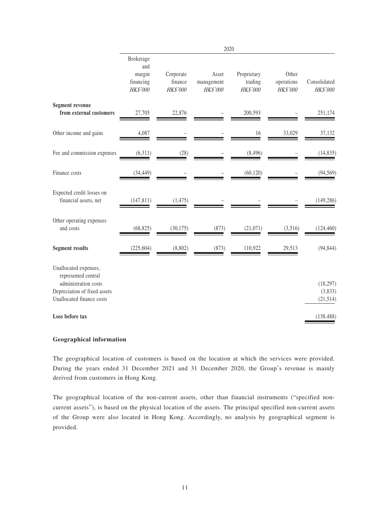|                                                                                                                                   |                                                     |                                  | 2020                            |                                    |                                 |                                   |
|-----------------------------------------------------------------------------------------------------------------------------------|-----------------------------------------------------|----------------------------------|---------------------------------|------------------------------------|---------------------------------|-----------------------------------|
|                                                                                                                                   | Brokerage<br>and<br>margin<br>financing<br>HK\$'000 | Corporate<br>finance<br>HK\$'000 | Asset<br>management<br>HK\$'000 | Proprietary<br>trading<br>HK\$'000 | Other<br>operations<br>HK\$'000 | Consolidated<br>HK\$'000          |
| <b>Segment revenue</b><br>from external customers                                                                                 | 27,705                                              | 22,876                           |                                 | 200,593                            |                                 | 251,174                           |
| Other income and gains                                                                                                            | 4,087                                               |                                  |                                 | 16                                 | 33,029                          | 37,132                            |
| Fee and commission expenses                                                                                                       | (6,311)                                             | (28)                             |                                 | (8, 496)                           |                                 | (14, 835)                         |
| Finance costs                                                                                                                     | (34, 449)                                           |                                  |                                 | (60, 120)                          |                                 | (94, 569)                         |
| Expected credit losses on<br>financial assets, net                                                                                | (147, 811)                                          | (1,475)                          |                                 |                                    |                                 | (149, 286)                        |
| Other operating expenses<br>and costs                                                                                             | (68, 825)                                           | (30, 175)                        | (873)                           | (21,071)                           | (3,516)                         | (124, 460)                        |
| <b>Segment results</b>                                                                                                            | (225, 604)                                          | (8,802)                          | (873)                           | 110,922                            | 29,513                          | (94, 844)                         |
| Unallocated expenses,<br>represented central<br>administration costs<br>Depreciation of fixed assets<br>Unallocated finance costs |                                                     |                                  |                                 |                                    |                                 | (18, 297)<br>(3,833)<br>(21, 514) |
| Loss before tax                                                                                                                   |                                                     |                                  |                                 |                                    |                                 | (138, 488)                        |

#### **Geographical information**

The geographical location of customers is based on the location at which the services were provided. During the years ended 31 December 2021 and 31 December 2020, the Group's revenue is mainly derived from customers in Hong Kong.

The geographical location of the non-current assets, other than financial instruments ("specified noncurrent assets"), is based on the physical location of the assets. The principal specified non-current assets of the Group were also located in Hong Kong. Accordingly, no analysis by geographical segment is provided.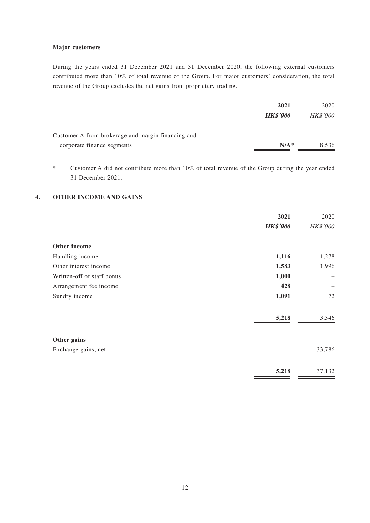#### **Major customers**

During the years ended 31 December 2021 and 31 December 2020, the following external customers contributed more than 10% of total revenue of the Group. For major customers' consideration, the total revenue of the Group excludes the net gains from proprietary trading.

|                                                    | 2021            | 2020            |
|----------------------------------------------------|-----------------|-----------------|
|                                                    | <b>HK\$'000</b> | <b>HK\$'000</b> |
| Customer A from brokerage and margin financing and |                 |                 |
| corporate finance segments                         | $N/A^*$         | 8,536           |

\* Customer A did not contribute more than 10% of total revenue of the Group during the year ended 31 December 2021.

### **4. OTHER INCOME AND GAINS**

|                            | 2021<br><b>HK\$'000</b> | 2020<br><b>HK\$'000</b> |
|----------------------------|-------------------------|-------------------------|
| Other income               |                         |                         |
| Handling income            | 1,116                   | 1,278                   |
| Other interest income      | 1,583                   | 1,996                   |
| Written-off of staff bonus | 1,000                   |                         |
| Arrangement fee income     | 428                     |                         |
| Sundry income              | 1,091                   | 72                      |
|                            | 5,218                   | 3,346                   |
| Other gains                |                         |                         |
| Exchange gains, net        |                         | 33,786                  |
|                            | 5,218                   | 37,132                  |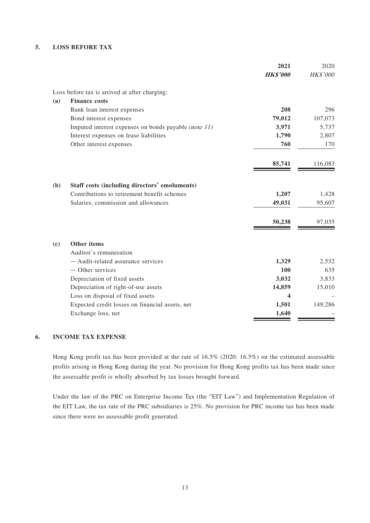### **5. LOSS BEFORE TAX**

|                                                      | 2021<br><b>HK\$'000</b> | 2020<br><b>HK\$'000</b> |
|------------------------------------------------------|-------------------------|-------------------------|
| Loss before tax is arrived at after charging:        |                         |                         |
| <b>Finance costs</b><br>(a)                          |                         |                         |
| Bank loan interest expenses                          | 208                     | 296                     |
| Bond interest expenses                               | 79,012                  | 107,073                 |
| Imputed interest expenses on bonds payable (note 11) | 3,971                   | 5,737                   |
| Interest expenses on lease liabilities               | 1,790                   | 2,807                   |
| Other interest expenses                              | 760                     | 170                     |
|                                                      | 85,741                  | 116,083                 |
| Staff costs (including directors' emoluments)<br>(b) |                         |                         |
| Contributions to retirement benefit schemes          | 1,207                   | 1,428                   |
| Salaries, commission and allowances                  | 49,031                  | 95,607                  |
|                                                      | 50,238                  | 97,035                  |
| <b>Other items</b><br>(c)                            |                         |                         |
| Auditor's remuneration                               |                         |                         |
| - Audit-related assurance services                   | 1,329                   | 2,532                   |
| - Other services                                     | 100                     | 635                     |
| Depreciation of fixed assets                         | 3,032                   | 3,833                   |
| Depreciation of right-of-use assets                  | 14,859                  | 15,010                  |
| Loss on disposal of fixed assets                     | 4                       |                         |
| Expected credit losses on financial assets, net      | 1,501                   | 149,286                 |
| Exchange loss, net                                   | 1,640                   |                         |

### **6. INCOME TAX EXPENSE**

Hong Kong profit tax has been provided at the rate of 16.5% (2020: 16.5%) on the estimated assessable profits arising in Hong Kong during the year. No provision for Hong Kong profits tax has been made since the assessable profit is wholly absorbed by tax losses brought forward.

Under the law of the PRC on Enterprise Income Tax (the "EIT Law") and Implementation Regulation of the EIT Law, the tax rate of the PRC subsidiaries is 25%. No provision for PRC income tax has been made since there were no assessable profit generated.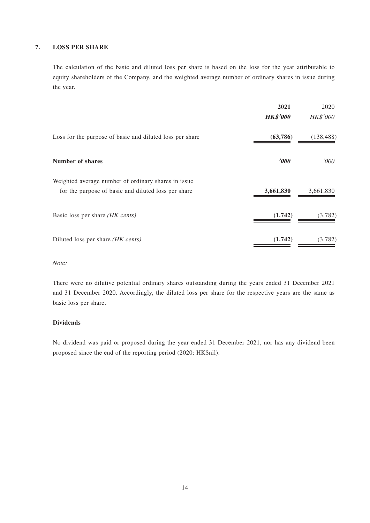### **7. LOSS PER SHARE**

The calculation of the basic and diluted loss per share is based on the loss for the year attributable to equity shareholders of the Company, and the weighted average number of ordinary shares in issue during the year.

|                                                                                                            | 2021<br><b>HK\$'000</b> | 2020<br><b>HK\$'000</b> |
|------------------------------------------------------------------------------------------------------------|-------------------------|-------------------------|
| Loss for the purpose of basic and diluted loss per share                                                   | (63,786)                | (138, 488)              |
| <b>Number of shares</b>                                                                                    | $\boldsymbol{\delta}$   | '000'                   |
| Weighted average number of ordinary shares in issue<br>for the purpose of basic and diluted loss per share | 3,661,830               | 3,661,830               |
| Basic loss per share (HK cents)                                                                            | (1.742)                 | (3.782)                 |
| Diluted loss per share (HK cents)                                                                          | (1.742)                 | (3.782)                 |

Note:

There were no dilutive potential ordinary shares outstanding during the years ended 31 December 2021 and 31 December 2020. Accordingly, the diluted loss per share for the respective years are the same as basic loss per share.

### **Dividends**

No dividend was paid or proposed during the year ended 31 December 2021, nor has any dividend been proposed since the end of the reporting period (2020: HK\$nil).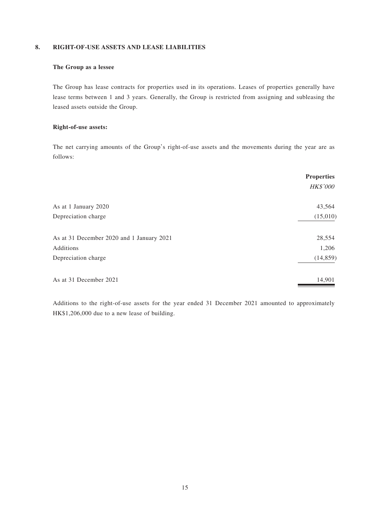### **8. RIGHT-OF-USE ASSETS AND LEASE LIABILITIES**

### **The Group as a lessee**

The Group has lease contracts for properties used in its operations. Leases of properties generally have lease terms between 1 and 3 years. Generally, the Group is restricted from assigning and subleasing the leased assets outside the Group.

#### **Right-of-use assets:**

The net carrying amounts of the Group's right-of-use assets and the movements during the year are as follows:

|                                           | <b>Properties</b><br><b>HK\$'000</b> |
|-------------------------------------------|--------------------------------------|
| As at 1 January 2020                      | 43,564                               |
| Depreciation charge                       | (15,010)                             |
| As at 31 December 2020 and 1 January 2021 | 28,554                               |
| Additions                                 | 1,206                                |
| Depreciation charge                       | (14, 859)                            |
| As at 31 December 2021                    | 14,901                               |

Additions to the right-of-use assets for the year ended 31 December 2021 amounted to approximately HK\$1,206,000 due to a new lease of building.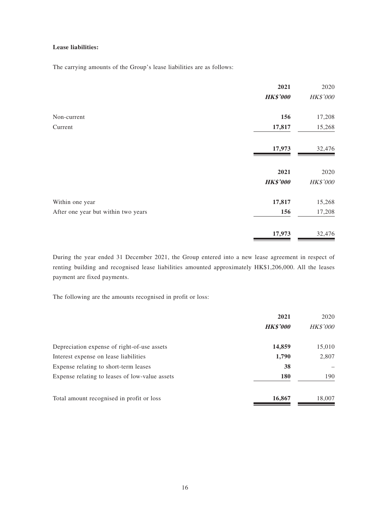### **Lease liabilities:**

The carrying amounts of the Group's lease liabilities are as follows:

|                                     | 2021            | 2020     |
|-------------------------------------|-----------------|----------|
|                                     | <b>HK\$'000</b> | HK\$'000 |
| Non-current                         | 156             | 17,208   |
| Current                             | 17,817          | 15,268   |
|                                     | 17,973          | 32,476   |
|                                     | 2021            | 2020     |
|                                     | <b>HK\$'000</b> | HK\$'000 |
| Within one year                     | 17,817          | 15,268   |
| After one year but within two years | 156             | 17,208   |
|                                     | 17,973          | 32,476   |

During the year ended 31 December 2021, the Group entered into a new lease agreement in respect of renting building and recognised lease liabilities amounted approximately HK\$1,206,000. All the leases payment are fixed payments.

The following are the amounts recognised in profit or loss:

|                                                | 2021            | 2020            |
|------------------------------------------------|-----------------|-----------------|
|                                                | <b>HK\$'000</b> | <b>HK\$'000</b> |
| Depreciation expense of right-of-use assets    | 14,859          | 15,010          |
| Interest expense on lease liabilities          | 1,790           | 2,807           |
| Expense relating to short-term leases          | 38              |                 |
| Expense relating to leases of low-value assets | <b>180</b>      | 190             |
| Total amount recognised in profit or loss      | 16,867          | 18,007          |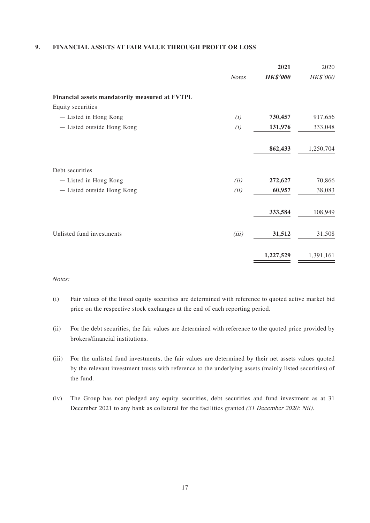### **9. FINANCIAL ASSETS AT FAIR VALUE THROUGH PROFIT OR LOSS**

|                                                |              | 2021            | 2020      |
|------------------------------------------------|--------------|-----------------|-----------|
|                                                | <b>Notes</b> | <b>HK\$'000</b> | HK\$'000  |
| Financial assets mandatorily measured at FVTPL |              |                 |           |
| Equity securities                              |              |                 |           |
| - Listed in Hong Kong                          | (i)          | 730,457         | 917,656   |
| - Listed outside Hong Kong                     | (i)          | 131,976         | 333,048   |
|                                                |              | 862,433         | 1,250,704 |
| Debt securities                                |              |                 |           |
| - Listed in Hong Kong                          | (ii)         | 272,627         | 70,866    |
| - Listed outside Hong Kong                     | (ii)         | 60,957          | 38,083    |
|                                                |              | 333,584         | 108,949   |
| Unlisted fund investments                      | (iii)        | 31,512          | 31,508    |
|                                                |              | 1,227,529       | 1,391,161 |

#### Notes:

- (i) Fair values of the listed equity securities are determined with reference to quoted active market bid price on the respective stock exchanges at the end of each reporting period.
- (ii) For the debt securities, the fair values are determined with reference to the quoted price provided by brokers/financial institutions.
- (iii) For the unlisted fund investments, the fair values are determined by their net assets values quoted by the relevant investment trusts with reference to the underlying assets (mainly listed securities) of the fund.
- (iv) The Group has not pledged any equity securities, debt securities and fund investment as at 31 December 2021 to any bank as collateral for the facilities granted (31 December 2020: Nil).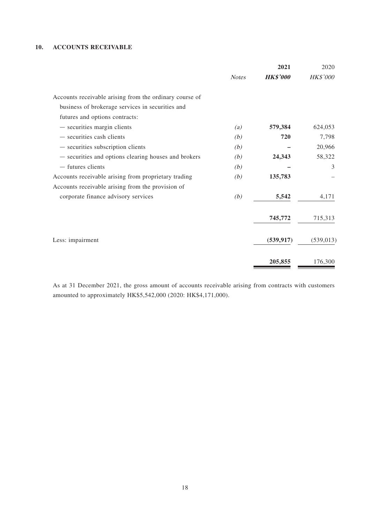### **10. ACCOUNTS RECEIVABLE**

|                                                         |              | 2021            | 2020            |
|---------------------------------------------------------|--------------|-----------------|-----------------|
|                                                         | <b>Notes</b> | <b>HK\$'000</b> | <b>HK\$'000</b> |
| Accounts receivable arising from the ordinary course of |              |                 |                 |
| business of brokerage services in securities and        |              |                 |                 |
| futures and options contracts:                          |              |                 |                 |
| $-$ securities margin clients                           | (a)          | 579,384         | 624,053         |
| - securities cash clients                               | (b)          | 720             | 7,798           |
| $-$ securities subscription clients                     | (b)          |                 | 20,966          |
| - securities and options clearing houses and brokers    | (b)          | 24,343          | 58,322          |
| - futures clients                                       | (b)          |                 | 3               |
| Accounts receivable arising from proprietary trading    | (b)          | 135,783         |                 |
| Accounts receivable arising from the provision of       |              |                 |                 |
| corporate finance advisory services                     | (b)          | 5,542           | 4,171           |
|                                                         |              | 745,772         | 715,313         |
| Less: impairment                                        |              | (539, 917)      | (539, 013)      |
|                                                         |              | 205,855         | 176,300         |

As at 31 December 2021, the gross amount of accounts receivable arising from contracts with customers amounted to approximately HK\$5,542,000 (2020: HK\$4,171,000).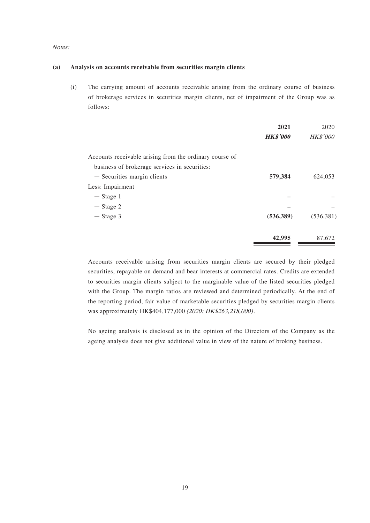#### Notes:

#### **(a) Analysis on accounts receivable from securities margin clients**

(i) The carrying amount of accounts receivable arising from the ordinary course of business of brokerage services in securities margin clients, net of impairment of the Group was as follows:

|                                                         | 2021<br><b>HK\$'000</b> | 2020<br><b>HK\$'000</b> |
|---------------------------------------------------------|-------------------------|-------------------------|
| Accounts receivable arising from the ordinary course of |                         |                         |
| business of brokerage services in securities:           |                         |                         |
| - Securities margin clients                             | 579,384                 | 624,053                 |
| Less: Impairment                                        |                         |                         |
| $-$ Stage 1                                             |                         |                         |
| $-$ Stage 2                                             |                         |                         |
| $-$ Stage 3                                             | (536, 389)              | (536, 381)              |
|                                                         | 42,995                  | 87,672                  |

Accounts receivable arising from securities margin clients are secured by their pledged securities, repayable on demand and bear interests at commercial rates. Credits are extended to securities margin clients subject to the marginable value of the listed securities pledged with the Group. The margin ratios are reviewed and determined periodically. At the end of the reporting period, fair value of marketable securities pledged by securities margin clients was approximately HK\$404,177,000 (2020: HK\$263,218,000).

No ageing analysis is disclosed as in the opinion of the Directors of the Company as the ageing analysis does not give additional value in view of the nature of broking business.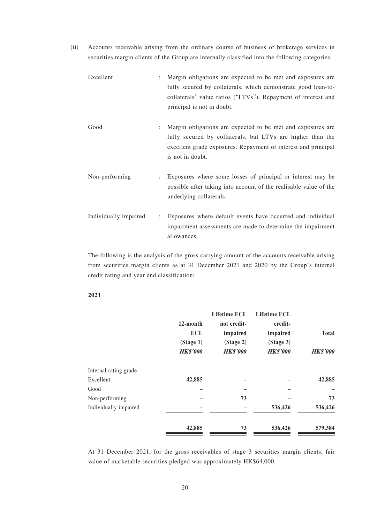(ii) Accounts receivable arising from the ordinary course of business of brokerage services in securities margin clients of the Group are internally classified into the following categories:

| Excellent | $\mathbb{R}^{\mathbb{Z}}$ | Margin obligations are expected to be met and exposures are<br>fully secured by collaterals, which demonstrate good loan-to-<br>collaterals' value ratios ("LTVs"). Repayment of interest and<br>principal is not in doubt. |
|-----------|---------------------------|-----------------------------------------------------------------------------------------------------------------------------------------------------------------------------------------------------------------------------|
| Good      | $\mathbb{R}^{\mathbb{Z}}$ | Margin obligations are expected to be met and exposures are<br>fully secured by collaterals, but LTVs are higher than the<br>excellent grade exposures. Repayment of interest and principal<br>is not in doubt.             |

Non-performing : Exposures where some losses of principal or interest may be possible after taking into account of the realisable value of the underlying collaterals.

Individually impaired : Exposures where default events have occurred and individual impairment assessments are made to determine the impairment allowances.

The following is the analysis of the gross carrying amount of the accounts receivable arising from securities margin clients as at 31 December 2021 and 2020 by the Group's internal credit rating and year end classification:

#### **2021**

|                       |                 | <b>Lifetime ECL</b> | <b>Lifetime ECL</b> |                 |
|-----------------------|-----------------|---------------------|---------------------|-----------------|
|                       | 12-month        | not credit-         | credit-             |                 |
|                       | <b>ECL</b>      | impaired            | impaired            | <b>Total</b>    |
|                       | (Stage 1)       | (Stage 2)           | (Stage 3)           |                 |
|                       | <b>HK\$'000</b> | <b>HK\$'000</b>     | <b>HK\$'000</b>     | <b>HK\$'000</b> |
| Internal rating grade |                 |                     |                     |                 |
| Excellent             | 42,885          |                     |                     | 42,885          |
| Good                  |                 |                     |                     |                 |
| Non-performing        |                 | 73                  |                     | 73              |
| Individually impaired |                 |                     | 536,426             | 536,426         |
|                       | 42,885          | 73                  | 536,426             | 579,384         |

At 31 December 2021, for the gross receivables of stage 3 securities margin clients, fair value of marketable securities pledged was approximately HK\$64,000.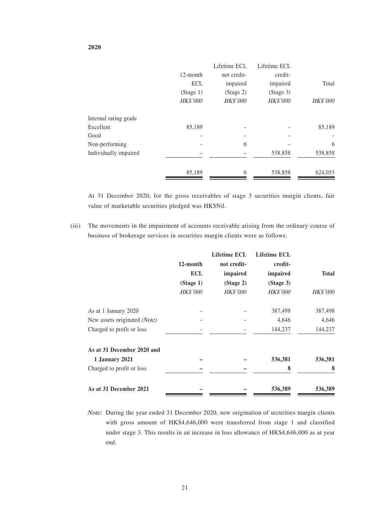|                       |                 | Lifetime ECL    | Lifetime ECL |                 |
|-----------------------|-----------------|-----------------|--------------|-----------------|
|                       | 12-month        | not credit-     | credit-      |                 |
|                       | <b>ECL</b>      | impaired        | impaired     | Total           |
|                       | (Stage 1)       | (Stage 2)       | (Stage 3)    |                 |
|                       | <b>HK\$'000</b> | <b>HK\$'000</b> | HK\$'000     | <b>HK\$'000</b> |
| Internal rating grade |                 |                 |              |                 |
| Excellent             | 85,189          |                 |              | 85,189          |
| Good                  |                 |                 |              |                 |
| Non-performing        |                 | 6               |              | 6               |
| Individually impaired |                 |                 | 538,858      | 538,858         |
|                       | 85,189          | 6               | 538,858      | 624,053         |

At 31 December 2020, for the gross receivables of stage 3 securities margin clients, fair value of marketable securities pledged was HK\$Nil.

(iii) The movements in the impairment of accounts receivable arising from the ordinary course of business of brokerage services in securities margin clients were as follows:

|                              |                 | Lifetime ECL    | <b>Lifetime ECL</b> |                 |
|------------------------------|-----------------|-----------------|---------------------|-----------------|
|                              | 12-month        | not credit-     | credit-             |                 |
|                              | <b>ECL</b>      | impaired        | impaired            | <b>Total</b>    |
|                              | (Stage 1)       | (Stage 2)       | (Stage 3)           |                 |
|                              | <b>HK\$'000</b> | <b>HK\$'000</b> | <b>HK\$'000</b>     | <b>HK\$'000</b> |
| As at 1 January 2020         |                 |                 | 387,498             | 387,498         |
| New assets originated (Note) |                 |                 | 4,646               | 4,646           |
| Charged to profit or loss    |                 |                 | 144,237             | 144,237         |
| As at 31 December 2020 and   |                 |                 |                     |                 |
| <b>1 January 2021</b>        |                 |                 | 536,381             | 536,381         |
| Charged to profit or loss    |                 |                 | 8                   | 8               |
| As at 31 December 2021       |                 |                 | 536,389             | 536,389         |

Note: During the year ended 31 December 2020, new origination of securities margin clients with gross amount of HK\$4,646,000 were transferred from stage 1 and classified under stage 3. This results in an increase in loss allowance of HK\$4,646,000 as at year end.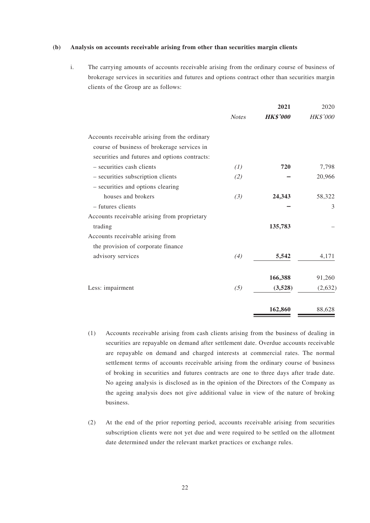#### **(b) Analysis on accounts receivable arising from other than securities margin clients**

i. The carrying amounts of accounts receivable arising from the ordinary course of business of brokerage services in securities and futures and options contract other than securities margin clients of the Group are as follows:

|                                               |              | 2021            | 2020            |
|-----------------------------------------------|--------------|-----------------|-----------------|
|                                               | <b>Notes</b> | <b>HK\$'000</b> | <b>HK\$'000</b> |
| Accounts receivable arising from the ordinary |              |                 |                 |
| course of business of brokerage services in   |              |                 |                 |
| securities and futures and options contracts: |              |                 |                 |
| - securities cash clients                     | (1)          | 720             | 7,798           |
| - securities subscription clients             | (2)          |                 | 20,966          |
| - securities and options clearing             |              |                 |                 |
| houses and brokers                            | (3)          | 24,343          | 58,322          |
| - futures clients                             |              |                 | 3               |
| Accounts receivable arising from proprietary  |              |                 |                 |
| trading                                       |              | 135,783         |                 |
| Accounts receivable arising from              |              |                 |                 |
| the provision of corporate finance            |              |                 |                 |
| advisory services                             | (4)          | 5,542           | 4,171           |
|                                               |              | 166,388         | 91,260          |
| Less: impairment                              | (5)          | (3,528)         | (2,632)         |
|                                               |              | 162,860         | 88,628          |

- (1) Accounts receivable arising from cash clients arising from the business of dealing in securities are repayable on demand after settlement date. Overdue accounts receivable are repayable on demand and charged interests at commercial rates. The normal settlement terms of accounts receivable arising from the ordinary course of business of broking in securities and futures contracts are one to three days after trade date. No ageing analysis is disclosed as in the opinion of the Directors of the Company as the ageing analysis does not give additional value in view of the nature of broking business.
- (2) At the end of the prior reporting period, accounts receivable arising from securities subscription clients were not yet due and were required to be settled on the allotment date determined under the relevant market practices or exchange rules.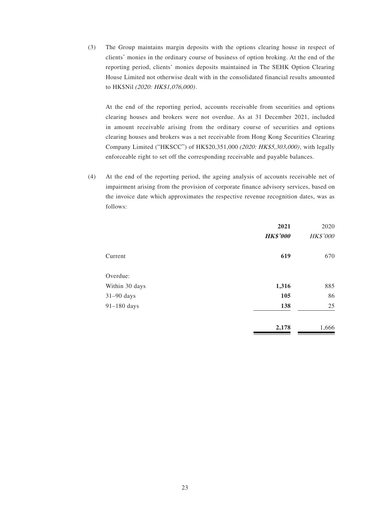(3) The Group maintains margin deposits with the options clearing house in respect of clients' monies in the ordinary course of business of option broking. At the end of the reporting period, clients' monies deposits maintained in The SEHK Option Clearing House Limited not otherwise dealt with in the consolidated financial results amounted to HK\$Nil (2020: HK\$1,076,000).

At the end of the reporting period, accounts receivable from securities and options clearing houses and brokers were not overdue. As at 31 December 2021, included in amount receivable arising from the ordinary course of securities and options clearing houses and brokers was a net receivable from Hong Kong Securities Clearing Company Limited ("HKSCC") of HK\$20,351,000 (2020: HK\$5,303,000), with legally enforceable right to set off the corresponding receivable and payable balances.

(4) At the end of the reporting period, the ageing analysis of accounts receivable net of impairment arising from the provision of corporate finance advisory services, based on the invoice date which approximates the respective revenue recognition dates, was as follows:

|                | 2021<br><b>HK\$'000</b> | 2020<br>HK\$'000 |
|----------------|-------------------------|------------------|
| Current        | 619                     | 670              |
| Overdue:       |                         |                  |
| Within 30 days | 1,316                   | 885              |
| $31-90$ days   | 105                     | 86               |
| 91-180 days    | 138                     | 25               |
|                | 2,178                   | 1,666            |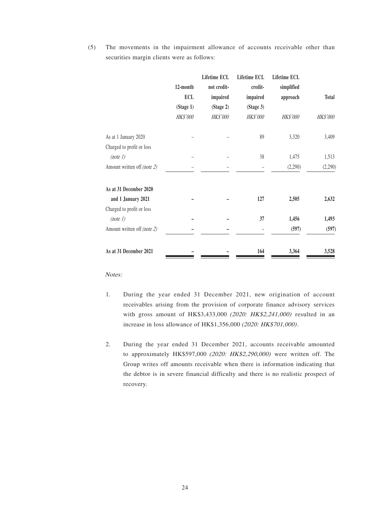(5) The movements in the impairment allowance of accounts receivable other than securities margin clients were as follows:

|                             |            | <b>Lifetime ECL</b> | Lifetime ECL | Lifetime ECL |                 |
|-----------------------------|------------|---------------------|--------------|--------------|-----------------|
|                             | 12-month   | not credit-         | credit-      | simplified   |                 |
|                             | <b>ECL</b> | impaired            | impaired     | approach     | <b>Total</b>    |
|                             | (Stage 1)  | (Stage 2)           | (Stage 3)    |              |                 |
|                             | HK\$'000   | <b>HK\$'000</b>     | HK\$'000     | HK\$'000     | <b>HK\$'000</b> |
| As at 1 January 2020        |            |                     | 89           | 3,320        | 3,409           |
| Charged to profit or loss   |            |                     |              |              |                 |
| (note 1)                    |            |                     | 38           | 1,475        | 1,513           |
| Amount written off (note 2) |            |                     |              | (2,290)      | (2,290)         |
| As at 31 December 2020      |            |                     |              |              |                 |
| and 1 January 2021          |            |                     | 127          | 2,505        | 2,632           |
| Charged to profit or loss   |            |                     |              |              |                 |
| (note 1)                    |            |                     | 37           | 1,456        | 1,493           |
| Amount written off (note 2) |            |                     |              | (597)        | (597)           |
| As at 31 December 2021      |            |                     | 164          | 3,364        | 3,528           |

Notes:

- 1. During the year ended 31 December 2021, new origination of account receivables arising from the provision of corporate finance advisory services with gross amount of HK\$3,433,000 (2020: HK\$2,241,000) resulted in an increase in loss allowance of HK\$1,356,000 (2020: HK\$701,000).
- 2. During the year ended 31 December 2021, accounts receivable amounted to approximately HK\$597,000 (2020: HK\$2,290,000) were written off. The Group writes off amounts receivable when there is information indicating that the debtor is in severe financial difficulty and there is no realistic prospect of recovery.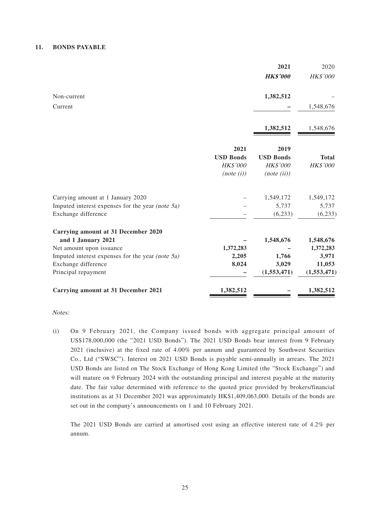#### **11. BONDS PAYABLE**

|                                                     |                  | 2021                   | 2020                  |
|-----------------------------------------------------|------------------|------------------------|-----------------------|
|                                                     |                  | <b>HK\$'000</b>        | HK\$'000              |
| Non-current                                         |                  | 1,382,512              |                       |
| Current                                             |                  |                        | 1,548,676             |
|                                                     |                  | 1,382,512              | 1,548,676             |
|                                                     | 2021             | 2019                   |                       |
|                                                     | <b>USD Bonds</b> | <b>USD Bonds</b>       | <b>Total</b>          |
|                                                     | <b>HK\$'000</b>  | <b>HK\$'000</b>        | HK\$'000              |
|                                                     | (note (i))       | (note (ii))            |                       |
| Carrying amount at 1 January 2020                   |                  | 1,549,172              | 1,549,172             |
| Imputed interest expenses for the year (note $5a$ ) |                  | 5,737                  | 5,737                 |
| Exchange difference                                 |                  | (6,233)                | (6,233)               |
| Carrying amount at 31 December 2020                 |                  |                        |                       |
| and 1 January 2021                                  |                  | 1,548,676              | 1,548,676             |
| Net amount upon issuance                            | 1,372,283        |                        | 1,372,283             |
| Imputed interest expenses for the year (note $5a$ ) | 2,205            | 1,766                  | 3,971                 |
| Exchange difference<br>Principal repayment          | 8,024            | 3,029<br>(1, 553, 471) | 11,053<br>(1,553,471) |
| <b>Carrying amount at 31 December 2021</b>          | 1,382,512        |                        | 1,382,512             |

Notes:

(i) On 9 February 2021, the Company issued bonds with aggregate principal amount of US\$178,000,000 (the "2021 USD Bonds"). The 2021 USD Bonds bear interest from 9 February 2021 (inclusive) at the fixed rate of 4.00% per annum and guaranteed by Southwest Securities Co., Ltd ("SWSC"). Interest on 2021 USD Bonds is payable semi-annually in arrears. The 2021 USD Bonds are listed on The Stock Exchange of Hong Kong Limited (the "Stock Exchange") and will mature on 9 February 2024 with the outstanding principal and interest payable at the maturity date. The fair value determined with reference to the quoted price provided by brokers/financial institutions as at 31 December 2021 was approximately HK\$1,409,063,000. Details of the bonds are set out in the company's announcements on 1 and 10 February 2021.

The 2021 USD Bonds are carried at amortised cost using an effective interest rate of 4.2% per annum.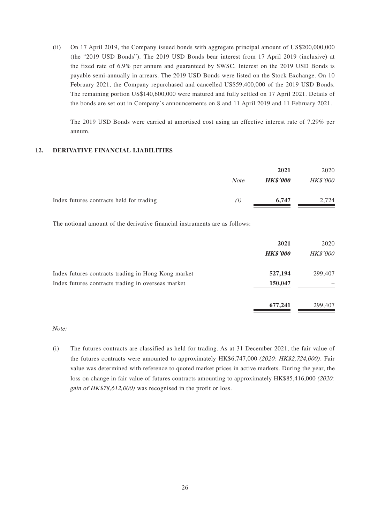(ii) On 17 April 2019, the Company issued bonds with aggregate principal amount of US\$200,000,000 (the "2019 USD Bonds"). The 2019 USD Bonds bear interest from 17 April 2019 (inclusive) at the fixed rate of 6.9% per annum and guaranteed by SWSC. Interest on the 2019 USD Bonds is payable semi-annually in arrears. The 2019 USD Bonds were listed on the Stock Exchange. On 10 February 2021, the Company repurchased and cancelled US\$59,400,000 of the 2019 USD Bonds. The remaining portion US\$140,600,000 were matured and fully settled on 17 April 2021. Details of the bonds are set out in Company's announcements on 8 and 11 April 2019 and 11 February 2021.

The 2019 USD Bonds were carried at amortised cost using an effective interest rate of 7.29% per annum.

#### **12. DERIVATIVE FINANCIAL LIABILITIES**

|                                          |                  | 2021            | 2020            |
|------------------------------------------|------------------|-----------------|-----------------|
|                                          | <b>Note</b>      | <b>HK\$'000</b> | <b>HK\$'000</b> |
| Index futures contracts held for trading | $\left(1\right)$ | 6.747           | 2.724           |

The notional amount of the derivative financial instruments are as follows:

|                                                     | 2021<br><b>HK\$'000</b> | 2020<br><b>HK\$'000</b> |
|-----------------------------------------------------|-------------------------|-------------------------|
| Index futures contracts trading in Hong Kong market | 527,194                 | 299,407                 |
| Index futures contracts trading in overseas market  | 150,047                 |                         |
|                                                     | 677,241                 | 299,407                 |

Note:

(i) The futures contracts are classified as held for trading. As at 31 December 2021, the fair value of the futures contracts were amounted to approximately HK\$6,747,000 (2020: HK\$2,724,000). Fair value was determined with reference to quoted market prices in active markets. During the year, the loss on change in fair value of futures contracts amounting to approximately HK\$85,416,000 (2020: gain of HK\$78,612,000) was recognised in the profit or loss.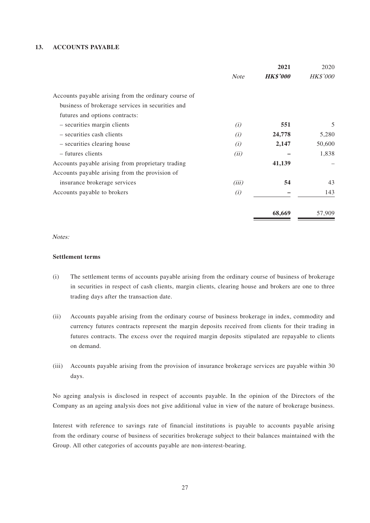#### **13. ACCOUNTS PAYABLE**

|                                                      |             | 2021            | 2020            |
|------------------------------------------------------|-------------|-----------------|-----------------|
|                                                      | <b>Note</b> | <b>HK\$'000</b> | <b>HK\$'000</b> |
| Accounts payable arising from the ordinary course of |             |                 |                 |
| business of brokerage services in securities and     |             |                 |                 |
| futures and options contracts:                       |             |                 |                 |
| - securities margin clients                          | (i)         | 551             | 5               |
| - securities cash clients                            | (i)         | 24,778          | 5,280           |
| - securities clearing house                          | (i)         | 2,147           | 50,600          |
| - futures clients                                    | (ii)        |                 | 1,838           |
| Accounts payable arising from proprietary trading    |             | 41,139          |                 |
| Accounts payable arising from the provision of       |             |                 |                 |
| insurance brokerage services                         | (iii)       | 54              | 43              |
| Accounts payable to brokers                          | (i)         | 143             |                 |
|                                                      |             | 68,669          | 57,909          |

#### Notes:

#### **Settlement terms**

- (i) The settlement terms of accounts payable arising from the ordinary course of business of brokerage in securities in respect of cash clients, margin clients, clearing house and brokers are one to three trading days after the transaction date.
- (ii) Accounts payable arising from the ordinary course of business brokerage in index, commodity and currency futures contracts represent the margin deposits received from clients for their trading in futures contracts. The excess over the required margin deposits stipulated are repayable to clients on demand.
- (iii) Accounts payable arising from the provision of insurance brokerage services are payable within 30 days.

No ageing analysis is disclosed in respect of accounts payable. In the opinion of the Directors of the Company as an ageing analysis does not give additional value in view of the nature of brokerage business.

Interest with reference to savings rate of financial institutions is payable to accounts payable arising from the ordinary course of business of securities brokerage subject to their balances maintained with the Group. All other categories of accounts payable are non-interest-bearing.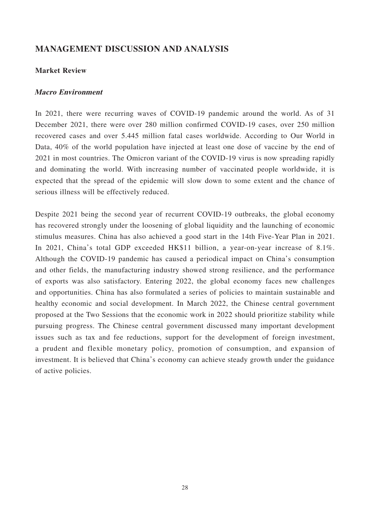# **MANAGEMENT DISCUSSION AND ANALYSIS**

### **Market Review**

### **Macro Environment**

In 2021, there were recurring waves of COVID-19 pandemic around the world. As of 31 December 2021, there were over 280 million confirmed COVID-19 cases, over 250 million recovered cases and over 5.445 million fatal cases worldwide. According to Our World in Data, 40% of the world population have injected at least one dose of vaccine by the end of 2021 in most countries. The Omicron variant of the COVID-19 virus is now spreading rapidly and dominating the world. With increasing number of vaccinated people worldwide, it is expected that the spread of the epidemic will slow down to some extent and the chance of serious illness will be effectively reduced.

Despite 2021 being the second year of recurrent COVID-19 outbreaks, the global economy has recovered strongly under the loosening of global liquidity and the launching of economic stimulus measures. China has also achieved a good start in the 14th Five-Year Plan in 2021. In 2021, China's total GDP exceeded HK\$11 billion, a year-on-year increase of 8.1%. Although the COVID-19 pandemic has caused a periodical impact on China's consumption and other fields, the manufacturing industry showed strong resilience, and the performance of exports was also satisfactory. Entering 2022, the global economy faces new challenges and opportunities. China has also formulated a series of policies to maintain sustainable and healthy economic and social development. In March 2022, the Chinese central government proposed at the Two Sessions that the economic work in 2022 should prioritize stability while pursuing progress. The Chinese central government discussed many important development issues such as tax and fee reductions, support for the development of foreign investment, a prudent and flexible monetary policy, promotion of consumption, and expansion of investment. It is believed that China's economy can achieve steady growth under the guidance of active policies.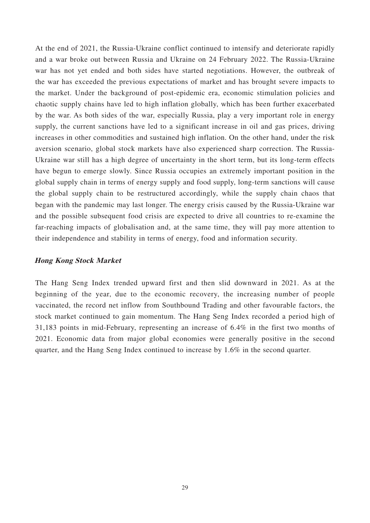At the end of 2021, the Russia-Ukraine conflict continued to intensify and deteriorate rapidly and a war broke out between Russia and Ukraine on 24 February 2022. The Russia-Ukraine war has not yet ended and both sides have started negotiations. However, the outbreak of the war has exceeded the previous expectations of market and has brought severe impacts to the market. Under the background of post-epidemic era, economic stimulation policies and chaotic supply chains have led to high inflation globally, which has been further exacerbated by the war. As both sides of the war, especially Russia, play a very important role in energy supply, the current sanctions have led to a significant increase in oil and gas prices, driving increases in other commodities and sustained high inflation. On the other hand, under the risk aversion scenario, global stock markets have also experienced sharp correction. The Russia-Ukraine war still has a high degree of uncertainty in the short term, but its long-term effects have begun to emerge slowly. Since Russia occupies an extremely important position in the global supply chain in terms of energy supply and food supply, long-term sanctions will cause the global supply chain to be restructured accordingly, while the supply chain chaos that began with the pandemic may last longer. The energy crisis caused by the Russia-Ukraine war and the possible subsequent food crisis are expected to drive all countries to re-examine the far-reaching impacts of globalisation and, at the same time, they will pay more attention to their independence and stability in terms of energy, food and information security.

### **Hong Kong Stock Market**

The Hang Seng Index trended upward first and then slid downward in 2021. As at the beginning of the year, due to the economic recovery, the increasing number of people vaccinated, the record net inflow from Southbound Trading and other favourable factors, the stock market continued to gain momentum. The Hang Seng Index recorded a period high of 31,183 points in mid-February, representing an increase of 6.4% in the first two months of 2021. Economic data from major global economies were generally positive in the second quarter, and the Hang Seng Index continued to increase by 1.6% in the second quarter.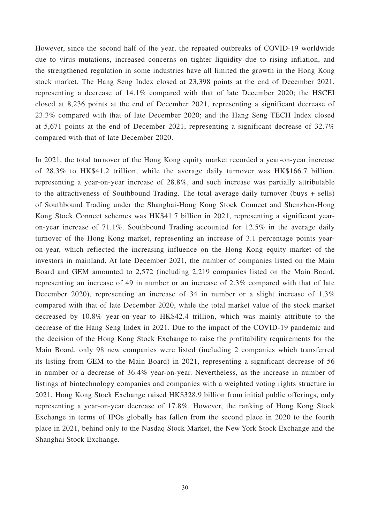However, since the second half of the year, the repeated outbreaks of COVID-19 worldwide due to virus mutations, increased concerns on tighter liquidity due to rising inflation, and the strengthened regulation in some industries have all limited the growth in the Hong Kong stock market. The Hang Seng Index closed at 23,398 points at the end of December 2021, representing a decrease of 14.1% compared with that of late December 2020; the HSCEI closed at 8,236 points at the end of December 2021, representing a significant decrease of 23.3% compared with that of late December 2020; and the Hang Seng TECH Index closed at 5,671 points at the end of December 2021, representing a significant decrease of 32.7% compared with that of late December 2020.

In 2021, the total turnover of the Hong Kong equity market recorded a year-on-year increase of 28.3% to HK\$41.2 trillion, while the average daily turnover was HK\$166.7 billion, representing a year-on-year increase of 28.8%, and such increase was partially attributable to the attractiveness of Southbound Trading. The total average daily turnover (buys + sells) of Southbound Trading under the Shanghai-Hong Kong Stock Connect and Shenzhen-Hong Kong Stock Connect schemes was HK\$41.7 billion in 2021, representing a significant yearon-year increase of 71.1%. Southbound Trading accounted for 12.5% in the average daily turnover of the Hong Kong market, representing an increase of 3.1 percentage points yearon-year, which reflected the increasing influence on the Hong Kong equity market of the investors in mainland. At late December 2021, the number of companies listed on the Main Board and GEM amounted to 2,572 (including 2,219 companies listed on the Main Board, representing an increase of 49 in number or an increase of 2.3% compared with that of late December 2020), representing an increase of 34 in number or a slight increase of 1.3% compared with that of late December 2020, while the total market value of the stock market decreased by 10.8% year-on-year to HK\$42.4 trillion, which was mainly attribute to the decrease of the Hang Seng Index in 2021. Due to the impact of the COVID-19 pandemic and the decision of the Hong Kong Stock Exchange to raise the profitability requirements for the Main Board, only 98 new companies were listed (including 2 companies which transferred its listing from GEM to the Main Board) in 2021, representing a significant decrease of 56 in number or a decrease of 36.4% year-on-year. Nevertheless, as the increase in number of listings of biotechnology companies and companies with a weighted voting rights structure in 2021, Hong Kong Stock Exchange raised HK\$328.9 billion from initial public offerings, only representing a year-on-year decrease of 17.8%. However, the ranking of Hong Kong Stock Exchange in terms of IPOs globally has fallen from the second place in 2020 to the fourth place in 2021, behind only to the Nasdaq Stock Market, the New York Stock Exchange and the Shanghai Stock Exchange.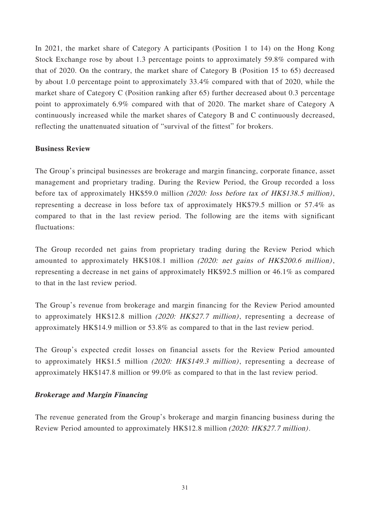In 2021, the market share of Category A participants (Position 1 to 14) on the Hong Kong Stock Exchange rose by about 1.3 percentage points to approximately 59.8% compared with that of 2020. On the contrary, the market share of Category B (Position 15 to 65) decreased by about 1.0 percentage point to approximately 33.4% compared with that of 2020, while the market share of Category C (Position ranking after 65) further decreased about 0.3 percentage point to approximately 6.9% compared with that of 2020. The market share of Category A continuously increased while the market shares of Category B and C continuously decreased, reflecting the unattenuated situation of "survival of the fittest" for brokers.

# **Business Review**

The Group's principal businesses are brokerage and margin financing, corporate finance, asset management and proprietary trading. During the Review Period, the Group recorded a loss before tax of approximately HK\$59.0 million (2020: loss before tax of HK\$138.5 million), representing a decrease in loss before tax of approximately HK\$79.5 million or 57.4% as compared to that in the last review period. The following are the items with significant fluctuations:

The Group recorded net gains from proprietary trading during the Review Period which amounted to approximately HK\$108.1 million (2020: net gains of HK\$200.6 million), representing a decrease in net gains of approximately HK\$92.5 million or 46.1% as compared to that in the last review period.

The Group's revenue from brokerage and margin financing for the Review Period amounted to approximately HK\$12.8 million (2020: HK\$27.7 million), representing a decrease of approximately HK\$14.9 million or 53.8% as compared to that in the last review period.

The Group's expected credit losses on financial assets for the Review Period amounted to approximately HK\$1.5 million (2020: HK\$149.3 million), representing a decrease of approximately HK\$147.8 million or 99.0% as compared to that in the last review period.

# **Brokerage and Margin Financing**

The revenue generated from the Group's brokerage and margin financing business during the Review Period amounted to approximately HK\$12.8 million (2020: HK\$27.7 million).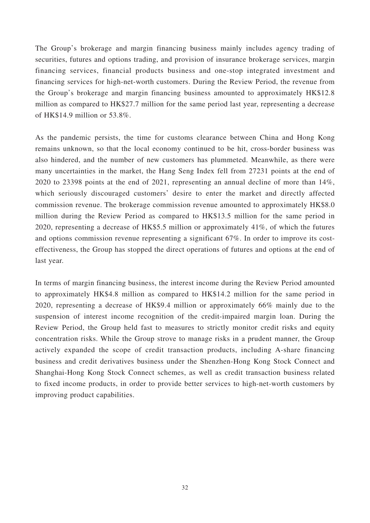The Group's brokerage and margin financing business mainly includes agency trading of securities, futures and options trading, and provision of insurance brokerage services, margin financing services, financial products business and one-stop integrated investment and financing services for high-net-worth customers. During the Review Period, the revenue from the Group's brokerage and margin financing business amounted to approximately HK\$12.8 million as compared to HK\$27.7 million for the same period last year, representing a decrease of HK\$14.9 million or 53.8%.

As the pandemic persists, the time for customs clearance between China and Hong Kong remains unknown, so that the local economy continued to be hit, cross-border business was also hindered, and the number of new customers has plummeted. Meanwhile, as there were many uncertainties in the market, the Hang Seng Index fell from 27231 points at the end of 2020 to 23398 points at the end of 2021, representing an annual decline of more than 14%, which seriously discouraged customers' desire to enter the market and directly affected commission revenue. The brokerage commission revenue amounted to approximately HK\$8.0 million during the Review Period as compared to HK\$13.5 million for the same period in 2020, representing a decrease of HK\$5.5 million or approximately 41%, of which the futures and options commission revenue representing a significant 67%. In order to improve its costeffectiveness, the Group has stopped the direct operations of futures and options at the end of last year.

In terms of margin financing business, the interest income during the Review Period amounted to approximately HK\$4.8 million as compared to HK\$14.2 million for the same period in 2020, representing a decrease of HK\$9.4 million or approximately 66% mainly due to the suspension of interest income recognition of the credit-impaired margin loan. During the Review Period, the Group held fast to measures to strictly monitor credit risks and equity concentration risks. While the Group strove to manage risks in a prudent manner, the Group actively expanded the scope of credit transaction products, including A-share financing business and credit derivatives business under the Shenzhen-Hong Kong Stock Connect and Shanghai-Hong Kong Stock Connect schemes, as well as credit transaction business related to fixed income products, in order to provide better services to high-net-worth customers by improving product capabilities.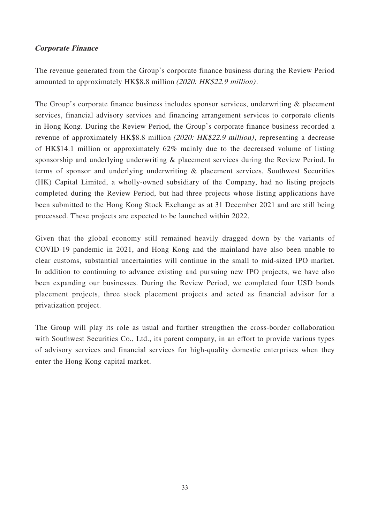# **Corporate Finance**

The revenue generated from the Group's corporate finance business during the Review Period amounted to approximately HK\$8.8 million (2020: HK\$22.9 million).

The Group's corporate finance business includes sponsor services, underwriting & placement services, financial advisory services and financing arrangement services to corporate clients in Hong Kong. During the Review Period, the Group's corporate finance business recorded a revenue of approximately HK\$8.8 million (2020: HK\$22.9 million), representing a decrease of HK\$14.1 million or approximately 62% mainly due to the decreased volume of listing sponsorship and underlying underwriting & placement services during the Review Period. In terms of sponsor and underlying underwriting & placement services, Southwest Securities (HK) Capital Limited, a wholly-owned subsidiary of the Company, had no listing projects completed during the Review Period, but had three projects whose listing applications have been submitted to the Hong Kong Stock Exchange as at 31 December 2021 and are still being processed. These projects are expected to be launched within 2022.

Given that the global economy still remained heavily dragged down by the variants of COVID-19 pandemic in 2021, and Hong Kong and the mainland have also been unable to clear customs, substantial uncertainties will continue in the small to mid-sized IPO market. In addition to continuing to advance existing and pursuing new IPO projects, we have also been expanding our businesses. During the Review Period, we completed four USD bonds placement projects, three stock placement projects and acted as financial advisor for a privatization project.

The Group will play its role as usual and further strengthen the cross-border collaboration with Southwest Securities Co., Ltd., its parent company, in an effort to provide various types of advisory services and financial services for high-quality domestic enterprises when they enter the Hong Kong capital market.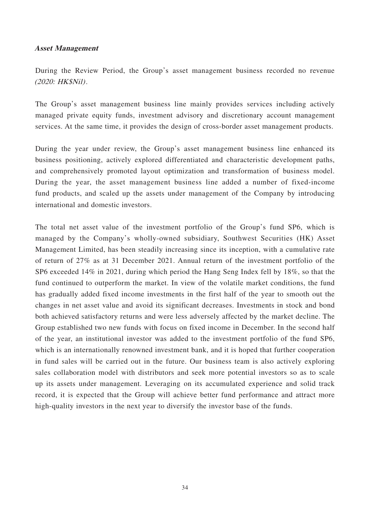### **Asset Management**

During the Review Period, the Group's asset management business recorded no revenue (2020: HK\$Nil).

The Group's asset management business line mainly provides services including actively managed private equity funds, investment advisory and discretionary account management services. At the same time, it provides the design of cross-border asset management products.

During the year under review, the Group's asset management business line enhanced its business positioning, actively explored differentiated and characteristic development paths, and comprehensively promoted layout optimization and transformation of business model. During the year, the asset management business line added a number of fixed-income fund products, and scaled up the assets under management of the Company by introducing international and domestic investors.

The total net asset value of the investment portfolio of the Group's fund SP6, which is managed by the Company's wholly-owned subsidiary, Southwest Securities (HK) Asset Management Limited, has been steadily increasing since its inception, with a cumulative rate of return of 27% as at 31 December 2021. Annual return of the investment portfolio of the SP6 exceeded 14% in 2021, during which period the Hang Seng Index fell by 18%, so that the fund continued to outperform the market. In view of the volatile market conditions, the fund has gradually added fixed income investments in the first half of the year to smooth out the changes in net asset value and avoid its significant decreases. Investments in stock and bond both achieved satisfactory returns and were less adversely affected by the market decline. The Group established two new funds with focus on fixed income in December. In the second half of the year, an institutional investor was added to the investment portfolio of the fund SP6, which is an internationally renowned investment bank, and it is hoped that further cooperation in fund sales will be carried out in the future. Our business team is also actively exploring sales collaboration model with distributors and seek more potential investors so as to scale up its assets under management. Leveraging on its accumulated experience and solid track record, it is expected that the Group will achieve better fund performance and attract more high-quality investors in the next year to diversify the investor base of the funds.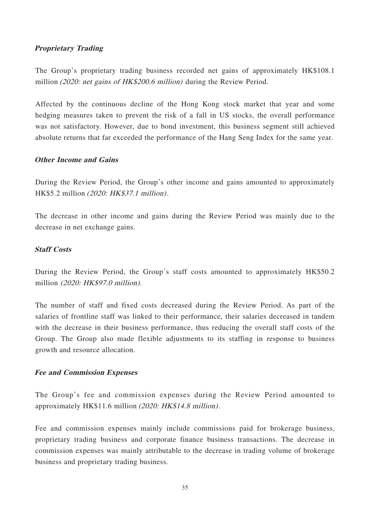# **Proprietary Trading**

The Group's proprietary trading business recorded net gains of approximately HK\$108.1 million (2020: net gains of HK\$200.6 million) during the Review Period.

Affected by the continuous decline of the Hong Kong stock market that year and some hedging measures taken to prevent the risk of a fall in US stocks, the overall performance was not satisfactory. However, due to bond investment, this business segment still achieved absolute returns that far exceeded the performance of the Hang Seng Index for the same year.

# **Other Income and Gains**

During the Review Period, the Group's other income and gains amounted to approximately HK\$5.2 million (2020: HK\$37.1 million).

The decrease in other income and gains during the Review Period was mainly due to the decrease in net exchange gains.

## **Staff Costs**

During the Review Period, the Group's staff costs amounted to approximately HK\$50.2 million (2020: HK\$97.0 million).

The number of staff and fixed costs decreased during the Review Period. As part of the salaries of frontline staff was linked to their performance, their salaries decreased in tandem with the decrease in their business performance, thus reducing the overall staff costs of the Group. The Group also made flexible adjustments to its staffing in response to business growth and resource allocation.

### **Fee and Commission Expenses**

The Group's fee and commission expenses during the Review Period amounted to approximately HK\$11.6 million (2020: HK\$14.8 million).

Fee and commission expenses mainly include commissions paid for brokerage business, proprietary trading business and corporate finance business transactions. The decrease in commission expenses was mainly attributable to the decrease in trading volume of brokerage business and proprietary trading business.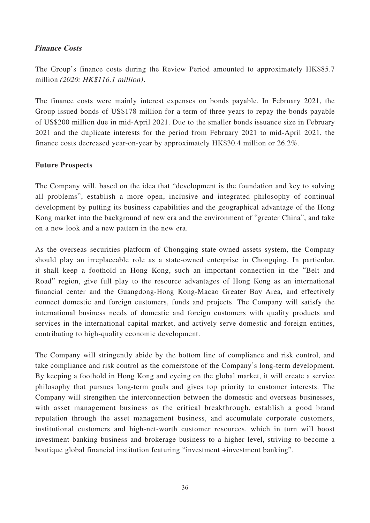# **Finance Costs**

The Group's finance costs during the Review Period amounted to approximately HK\$85.7 million (2020: HK\$116.1 million).

The finance costs were mainly interest expenses on bonds payable. In February 2021, the Group issued bonds of US\$178 million for a term of three years to repay the bonds payable of US\$200 million due in mid-April 2021. Due to the smaller bonds issuance size in February 2021 and the duplicate interests for the period from February 2021 to mid-April 2021, the finance costs decreased year-on-year by approximately HK\$30.4 million or 26.2%.

## **Future Prospects**

The Company will, based on the idea that "development is the foundation and key to solving all problems", establish a more open, inclusive and integrated philosophy of continual development by putting its business capabilities and the geographical advantage of the Hong Kong market into the background of new era and the environment of "greater China", and take on a new look and a new pattern in the new era.

As the overseas securities platform of Chongqing state-owned assets system, the Company should play an irreplaceable role as a state-owned enterprise in Chongqing. In particular, it shall keep a foothold in Hong Kong, such an important connection in the "Belt and Road" region, give full play to the resource advantages of Hong Kong as an international financial center and the Guangdong-Hong Kong-Macao Greater Bay Area, and effectively connect domestic and foreign customers, funds and projects. The Company will satisfy the international business needs of domestic and foreign customers with quality products and services in the international capital market, and actively serve domestic and foreign entities, contributing to high-quality economic development.

The Company will stringently abide by the bottom line of compliance and risk control, and take compliance and risk control as the cornerstone of the Company's long-term development. By keeping a foothold in Hong Kong and eyeing on the global market, it will create a service philosophy that pursues long-term goals and gives top priority to customer interests. The Company will strengthen the interconnection between the domestic and overseas businesses, with asset management business as the critical breakthrough, establish a good brand reputation through the asset management business, and accumulate corporate customers, institutional customers and high-net-worth customer resources, which in turn will boost investment banking business and brokerage business to a higher level, striving to become a boutique global financial institution featuring "investment +investment banking".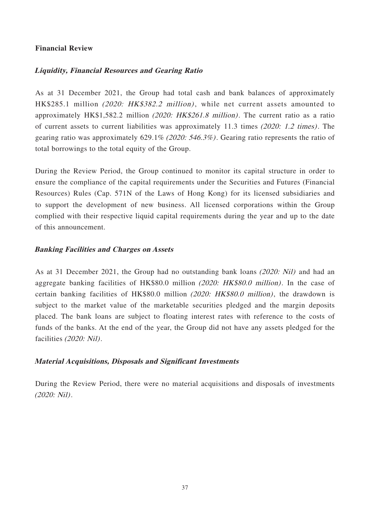# **Financial Review**

# **Liquidity, Financial Resources and Gearing Ratio**

As at 31 December 2021, the Group had total cash and bank balances of approximately HK\$285.1 million (2020: HK\$382.2 million), while net current assets amounted to approximately HK\$1,582.2 million (2020: HK\$261.8 million). The current ratio as a ratio of current assets to current liabilities was approximately 11.3 times (2020: 1.2 times). The gearing ratio was approximately 629.1% (2020: 546.3%). Gearing ratio represents the ratio of total borrowings to the total equity of the Group.

During the Review Period, the Group continued to monitor its capital structure in order to ensure the compliance of the capital requirements under the Securities and Futures (Financial Resources) Rules (Cap. 571N of the Laws of Hong Kong) for its licensed subsidiaries and to support the development of new business. All licensed corporations within the Group complied with their respective liquid capital requirements during the year and up to the date of this announcement.

## **Banking Facilities and Charges on Assets**

As at 31 December 2021, the Group had no outstanding bank loans (2020: Nil) and had an aggregate banking facilities of HK\$80.0 million (2020: HK\$80.0 million). In the case of certain banking facilities of HK\$80.0 million (2020: HK\$80.0 million), the drawdown is subject to the market value of the marketable securities pledged and the margin deposits placed. The bank loans are subject to floating interest rates with reference to the costs of funds of the banks. At the end of the year, the Group did not have any assets pledged for the facilities (2020: Nil).

### **Material Acquisitions, Disposals and Significant Investments**

During the Review Period, there were no material acquisitions and disposals of investments (2020: Nil).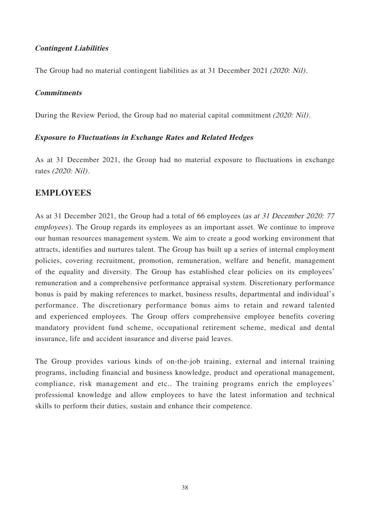# **Contingent Liabilities**

The Group had no material contingent liabilities as at 31 December 2021 (2020: Nil).

### **Commitments**

During the Review Period, the Group had no material capital commitment (2020: Nil).

## **Exposure to Fluctuations in Exchange Rates and Related Hedges**

As at 31 December 2021, the Group had no material exposure to fluctuations in exchange rates (2020: Nil).

# **EMPLOYEES**

As at 31 December 2021, the Group had a total of 66 employees (as at 31 December 2020: 77 employees). The Group regards its employees as an important asset. We continue to improve our human resources management system. We aim to create a good working environment that attracts, identifies and nurtures talent. The Group has built up a series of internal employment policies, covering recruitment, promotion, remuneration, welfare and benefit, management of the equality and diversity. The Group has established clear policies on its employees' remuneration and a comprehensive performance appraisal system. Discretionary performance bonus is paid by making references to market, business results, departmental and individual's performance. The discretionary performance bonus aims to retain and reward talented and experienced employees. The Group offers comprehensive employee benefits covering mandatory provident fund scheme, occupational retirement scheme, medical and dental insurance, life and accident insurance and diverse paid leaves.

The Group provides various kinds of on-the-job training, external and internal training programs, including financial and business knowledge, product and operational management, compliance, risk management and etc.. The training programs enrich the employees' professional knowledge and allow employees to have the latest information and technical skills to perform their duties, sustain and enhance their competence.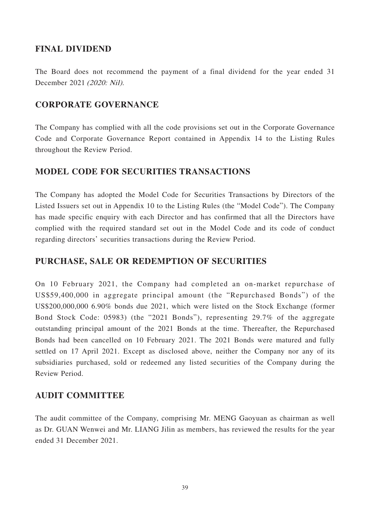# **FINAL DIVIDEND**

The Board does not recommend the payment of a final dividend for the year ended 31 December 2021 (2020: Nil).

# **CORPORATE GOVERNANCE**

The Company has complied with all the code provisions set out in the Corporate Governance Code and Corporate Governance Report contained in Appendix 14 to the Listing Rules throughout the Review Period.

# **MODEL CODE FOR SECURITIES TRANSACTIONS**

The Company has adopted the Model Code for Securities Transactions by Directors of the Listed Issuers set out in Appendix 10 to the Listing Rules (the "Model Code"). The Company has made specific enquiry with each Director and has confirmed that all the Directors have complied with the required standard set out in the Model Code and its code of conduct regarding directors' securities transactions during the Review Period.

# **PURCHASE, SALE OR REDEMPTION OF SECURITIES**

On 10 February 2021, the Company had completed an on-market repurchase of US\$59,400,000 in aggregate principal amount (the "Repurchased Bonds") of the US\$200,000,000 6.90% bonds due 2021, which were listed on the Stock Exchange (former Bond Stock Code: 05983) (the "2021 Bonds"), representing 29.7% of the aggregate outstanding principal amount of the 2021 Bonds at the time. Thereafter, the Repurchased Bonds had been cancelled on 10 February 2021. The 2021 Bonds were matured and fully settled on 17 April 2021. Except as disclosed above, neither the Company nor any of its subsidiaries purchased, sold or redeemed any listed securities of the Company during the Review Period.

# **AUDIT COMMITTEE**

The audit committee of the Company, comprising Mr. MENG Gaoyuan as chairman as well as Dr. GUAN Wenwei and Mr. LIANG Jilin as members, has reviewed the results for the year ended 31 December 2021.